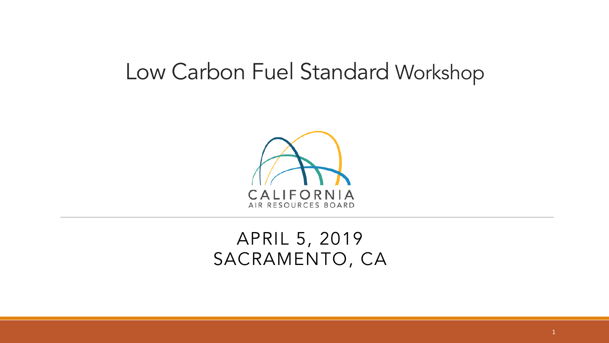#### Low Carbon Fuel Standard Workshop



#### APRIL 5, 2019 SACRAMENTO, CA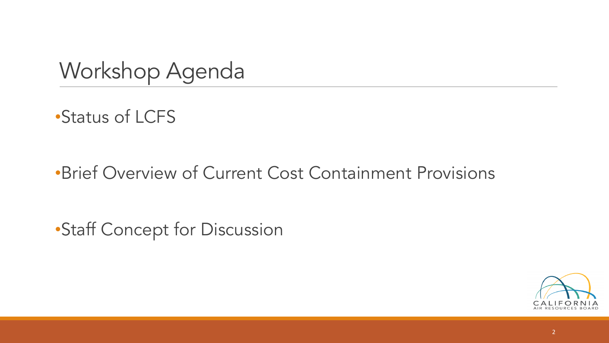Workshop Agenda

•Status of LCFS

•Brief Overview of Current Cost Containment Provisions

•Staff Concept for Discussion

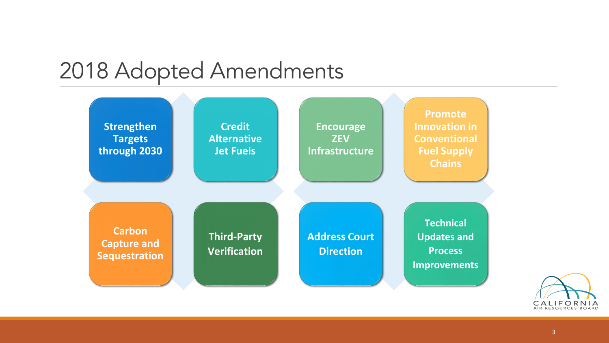#### 2018 Adopted Amendments



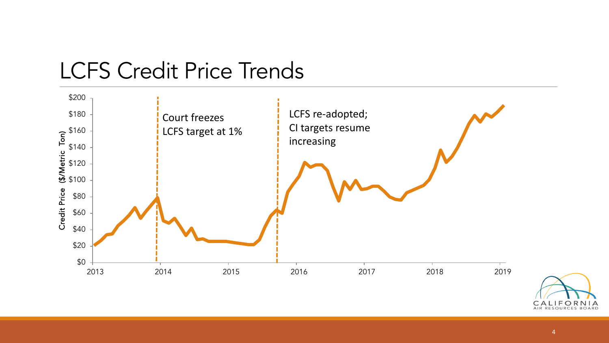

#### LCFS Credit Price Trends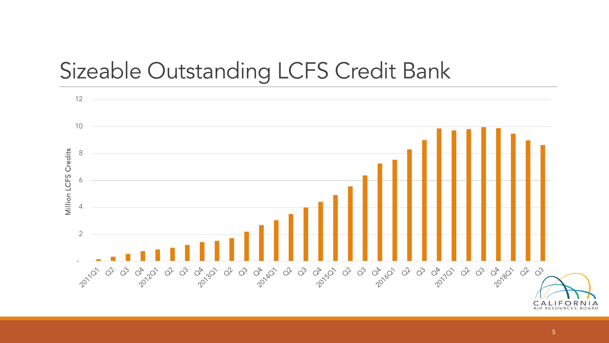#### Sizeable Outstanding LCFS Credit Bank

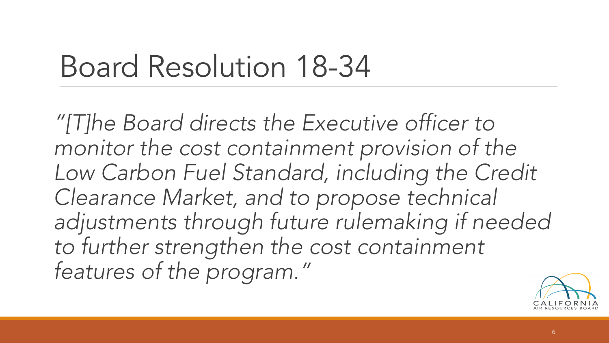## Board Resolution 18-34

*"[T]he Board directs the Executive officer to monitor the cost containment provision of the Low Carbon Fuel Standard, including the Credit Clearance Market, and to propose technical adjustments through future rulemaking if needed to further strengthen the cost containment features of the program."*

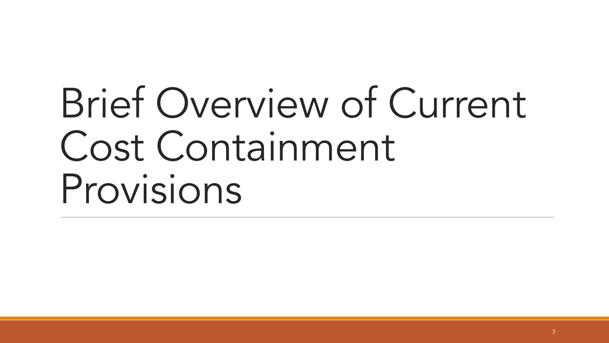# Brief Overview of Current Cost Containment Provisions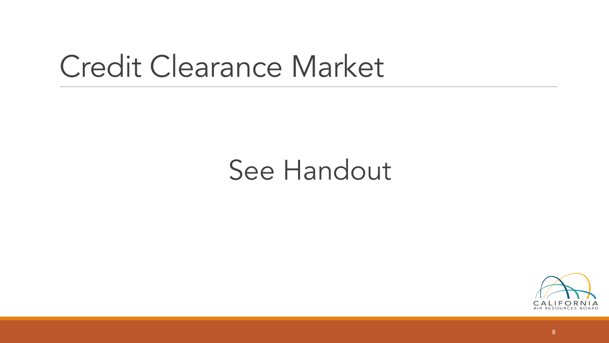## Credit Clearance Market

### See Handout

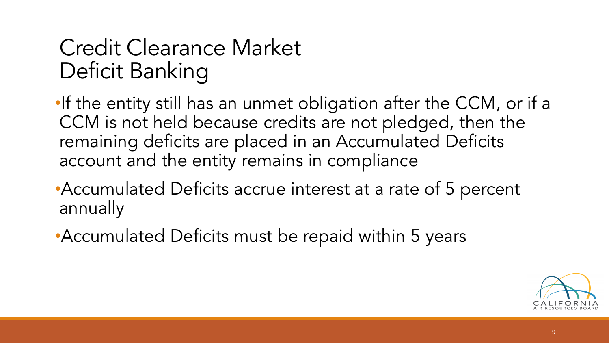#### Credit Clearance Market Deficit Banking

•If the entity still has an unmet obligation after the CCM, or if a CCM is not held because credits are not pledged, then the remaining deficits are placed in an Accumulated Deficits account and the entity remains in compliance

•Accumulated Deficits accrue interest at a rate of 5 percent annually

•Accumulated Deficits must be repaid within 5 years

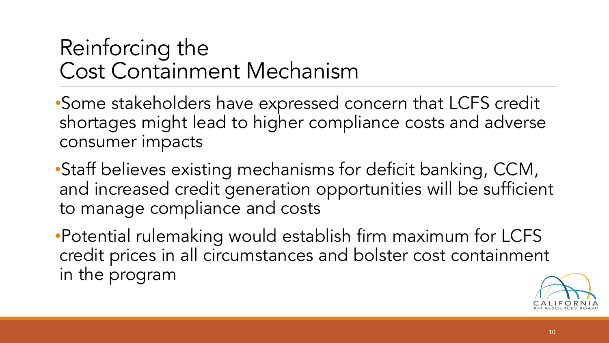#### Reinforcing the Cost Containment Mechanism

•Some stakeholders have expressed concern that LCFS credit shortages might lead to higher compliance costs and adverse consumer impacts

•Staff believes existing mechanisms for deficit banking, CCM, and increased credit generation opportunities will be sufficient to manage compliance and costs

•Potential rulemaking would establish firm maximum for LCFS credit prices in all circumstances and bolster cost containment in the program

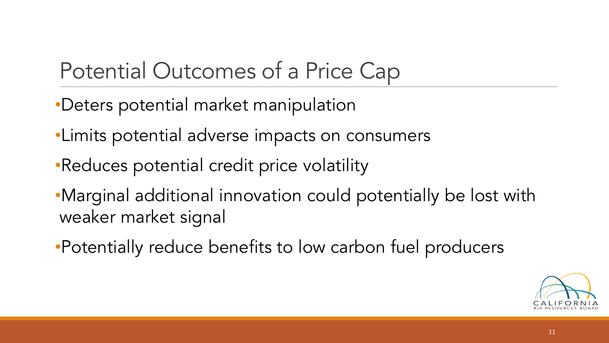#### Potential Outcomes of a Price Cap

- •Deters potential market manipulation
- •Limits potential adverse impacts on consumers
- •Reduces potential credit price volatility
- •Marginal additional innovation could potentially be lost with weaker market signal
- •Potentially reduce benefits to low carbon fuel producers

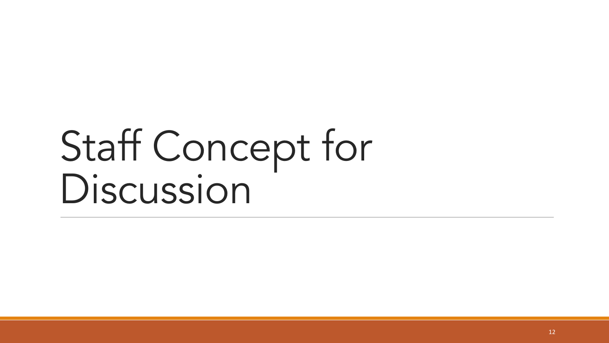## Staff Concept for Discussion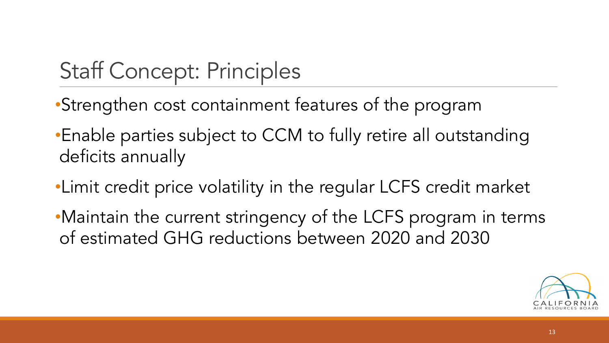#### Staff Concept: Principles

- •Strengthen cost containment features of the program
- •Enable parties subject to CCM to fully retire all outstanding deficits annually
- •Limit credit price volatility in the regular LCFS credit market
- •Maintain the current stringency of the LCFS program in terms of estimated GHG reductions between 2020 and 2030

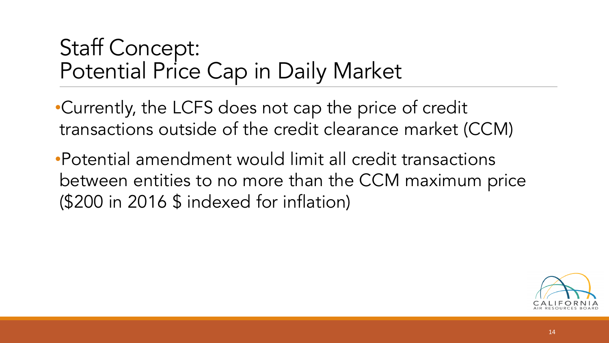#### Staff Concept: Potential Price Cap in Daily Market

•Currently, the LCFS does not cap the price of credit transactions outside of the credit clearance market (CCM)

•Potential amendment would limit all credit transactions between entities to no more than the CCM maximum price (\$200 in 2016 \$ indexed for inflation)

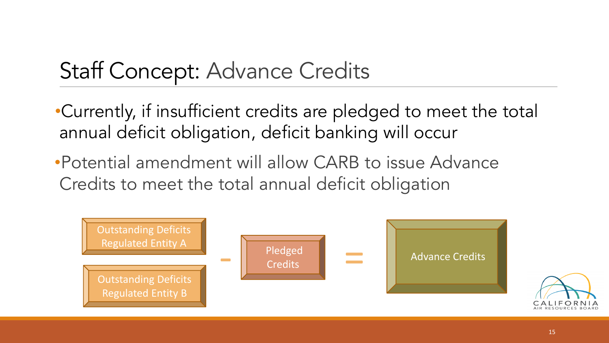•Currently, if insufficient credits are pledged to meet the total annual deficit obligation, deficit banking will occur

•Potential amendment will allow CARB to issue Advance Credits to meet the total annual deficit obligation

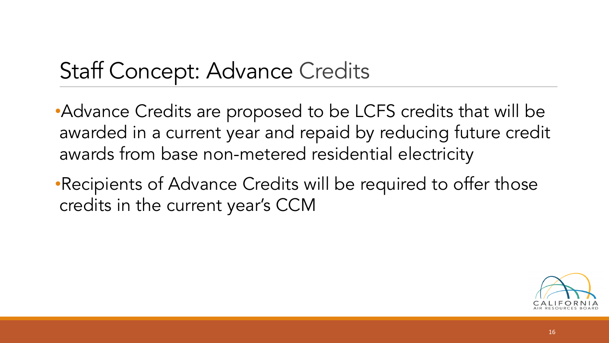•Advance Credits are proposed to be LCFS credits that will be awarded in a current year and repaid by reducing future credit awards from base non-metered residential electricity

•Recipients of Advance Credits will be required to offer those credits in the current year's CCM

![](_page_15_Picture_3.jpeg)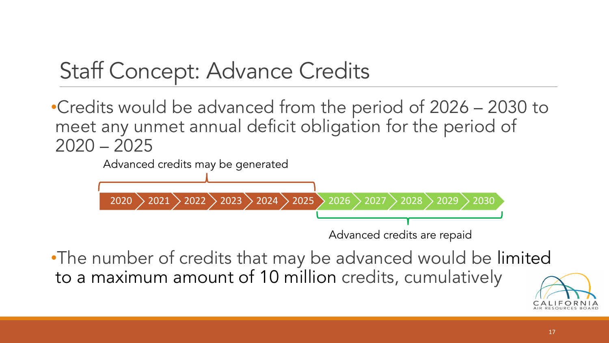•Credits would be advanced from the period of 2026 – 2030 to meet any unmet annual deficit obligation for the period of  $2020 - 2025$ 

![](_page_16_Figure_2.jpeg)

•The number of credits that may be advanced would be limited to a maximum amount of 10 million credits, cumulatively

![](_page_16_Picture_4.jpeg)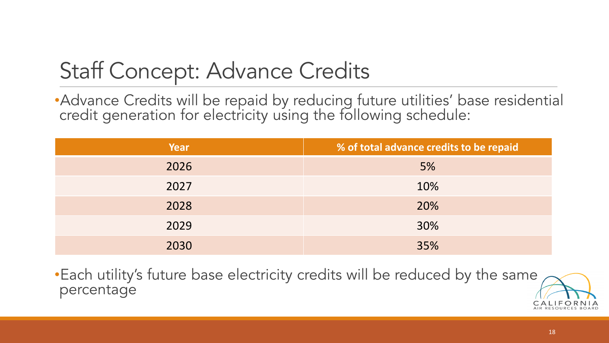•Advance Credits will be repaid by reducing future utilities' base residential credit generation for electricity using the following schedule:

| Year | % of total advance credits to be repaid |
|------|-----------------------------------------|
| 2026 | 5%                                      |
| 2027 | 10%                                     |
| 2028 | 20%                                     |
| 2029 | 30%                                     |
| 2030 | 35%                                     |

•Each utility 's future base electricity credits will be reduced by the same percentage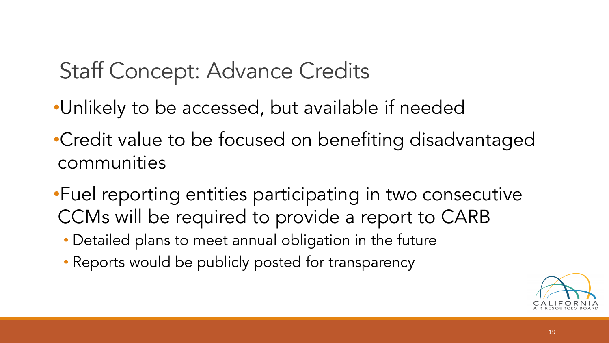- •Unlikely to be accessed, but available if needed
- •Credit value to be focused on benefiting disadvantaged communities
- •Fuel reporting entities participating in two consecutive CCMs will be required to provide a report to CARB
	- Detailed plans to meet annual obligation in the future
	- Reports would be publicly posted for transparency

![](_page_18_Picture_6.jpeg)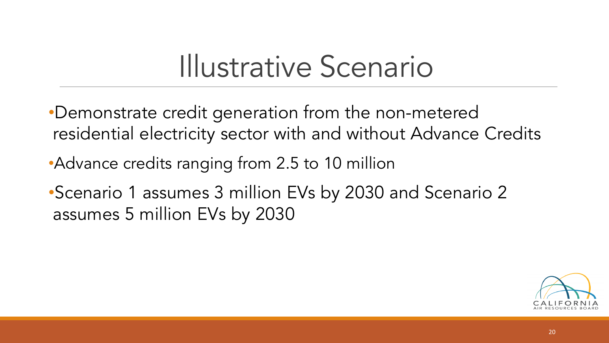- •Demonstrate credit generation from the non-metered residential electricity sector with and without Advance Credits
- Advance credits ranging from 2.5 to 10 million
- •Scenario 1 assumes 3 million EVs by 2030 and Scenario 2 assumes 5 million EVs by 2030

![](_page_19_Picture_4.jpeg)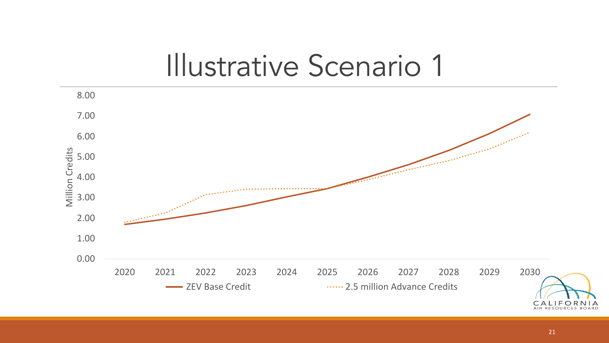![](_page_20_Figure_1.jpeg)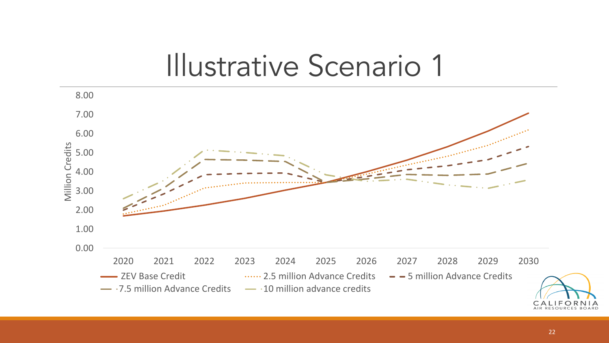![](_page_21_Figure_1.jpeg)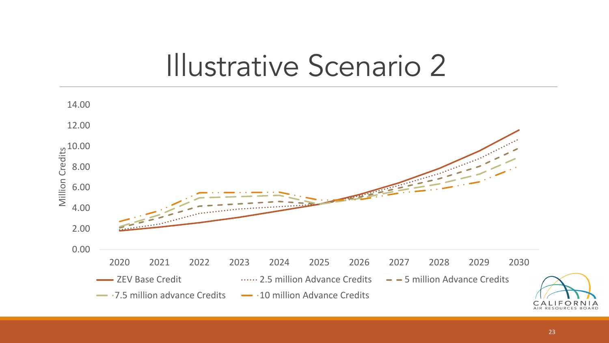![](_page_22_Figure_1.jpeg)